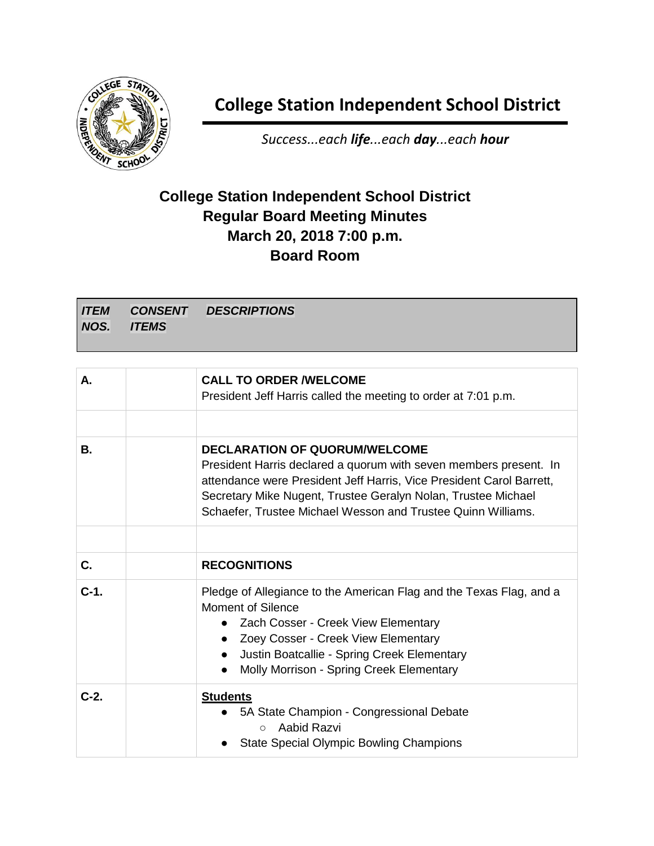

## **College Station Independent School District**

*Success...each life...each day...each hour*

## **College Station Independent School District Regular Board Meeting Minutes March 20, 2018 7:00 p.m. Board Room**

*ITEM NOS. CONSENT ITEMS DESCRIPTIONS*

| А.        | <b>CALL TO ORDER /WELCOME</b><br>President Jeff Harris called the meeting to order at 7:01 p.m.                                                                                                                                                                                                                    |
|-----------|--------------------------------------------------------------------------------------------------------------------------------------------------------------------------------------------------------------------------------------------------------------------------------------------------------------------|
| <b>B.</b> | <b>DECLARATION OF QUORUM/WELCOME</b><br>President Harris declared a quorum with seven members present. In<br>attendance were President Jeff Harris, Vice President Carol Barrett,<br>Secretary Mike Nugent, Trustee Geralyn Nolan, Trustee Michael<br>Schaefer, Trustee Michael Wesson and Trustee Quinn Williams. |
| C.        | <b>RECOGNITIONS</b>                                                                                                                                                                                                                                                                                                |
|           |                                                                                                                                                                                                                                                                                                                    |
| $C-1.$    | Pledge of Allegiance to the American Flag and the Texas Flag, and a<br>Moment of Silence<br>• Zach Cosser - Creek View Elementary<br>Zoey Cosser - Creek View Elementary<br>$\bullet$<br>Justin Boatcallie - Spring Creek Elementary<br>Molly Morrison - Spring Creek Elementary<br>$\bullet$                      |
| $C-2.$    | <b>Students</b><br>5A State Champion - Congressional Debate<br>Aabid Razvi<br>$\circ$<br><b>State Special Olympic Bowling Champions</b>                                                                                                                                                                            |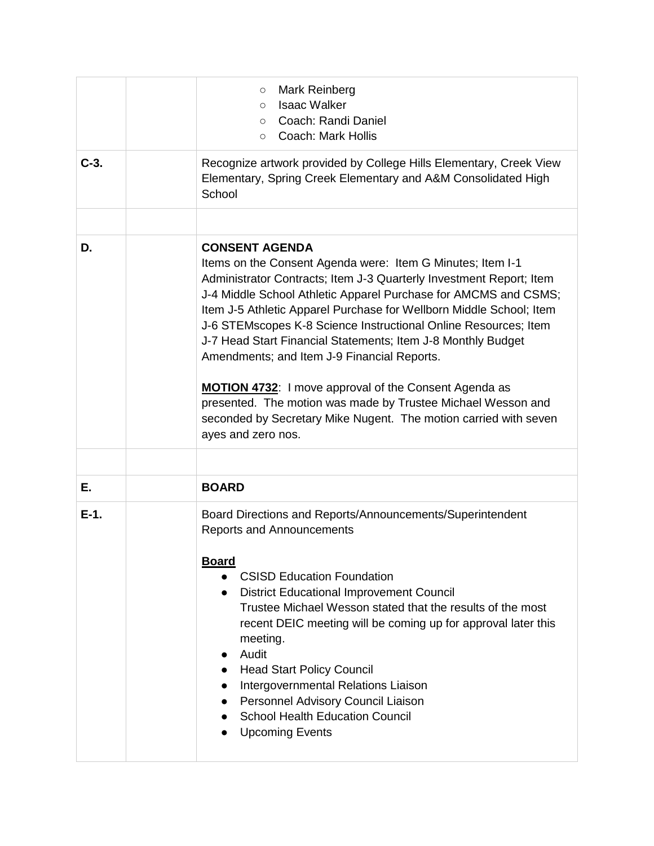|         | Mark Reinberg<br>$\circ$<br><b>Isaac Walker</b><br>$\circ$<br>○ Coach: Randi Daniel<br><b>Coach: Mark Hollis</b><br>$\circ$                                                                                                                                                                                                                                                                                                                                                                                                                                                                                                                                                                               |
|---------|-----------------------------------------------------------------------------------------------------------------------------------------------------------------------------------------------------------------------------------------------------------------------------------------------------------------------------------------------------------------------------------------------------------------------------------------------------------------------------------------------------------------------------------------------------------------------------------------------------------------------------------------------------------------------------------------------------------|
| $C-3.$  | Recognize artwork provided by College Hills Elementary, Creek View<br>Elementary, Spring Creek Elementary and A&M Consolidated High<br>School                                                                                                                                                                                                                                                                                                                                                                                                                                                                                                                                                             |
|         |                                                                                                                                                                                                                                                                                                                                                                                                                                                                                                                                                                                                                                                                                                           |
| D.      | <b>CONSENT AGENDA</b><br>Items on the Consent Agenda were: Item G Minutes; Item I-1<br>Administrator Contracts; Item J-3 Quarterly Investment Report; Item<br>J-4 Middle School Athletic Apparel Purchase for AMCMS and CSMS;<br>Item J-5 Athletic Apparel Purchase for Wellborn Middle School; Item<br>J-6 STEMscopes K-8 Science Instructional Online Resources; Item<br>J-7 Head Start Financial Statements; Item J-8 Monthly Budget<br>Amendments; and Item J-9 Financial Reports.<br>MOTION 4732: I move approval of the Consent Agenda as<br>presented. The motion was made by Trustee Michael Wesson and<br>seconded by Secretary Mike Nugent. The motion carried with seven<br>ayes and zero nos. |
|         |                                                                                                                                                                                                                                                                                                                                                                                                                                                                                                                                                                                                                                                                                                           |
| Е.      | <b>BOARD</b>                                                                                                                                                                                                                                                                                                                                                                                                                                                                                                                                                                                                                                                                                              |
| $E-1$ . | Board Directions and Reports/Announcements/Superintendent<br><b>Reports and Announcements</b><br><u>Board</u><br><b>CSISD Education Foundation</b><br><b>District Educational Improvement Council</b><br>Trustee Michael Wesson stated that the results of the most<br>recent DEIC meeting will be coming up for approval later this<br>meeting.<br>Audit<br><b>Head Start Policy Council</b><br>Intergovernmental Relations Liaison<br>Personnel Advisory Council Liaison<br><b>School Health Education Council</b><br><b>Upcoming Events</b>                                                                                                                                                            |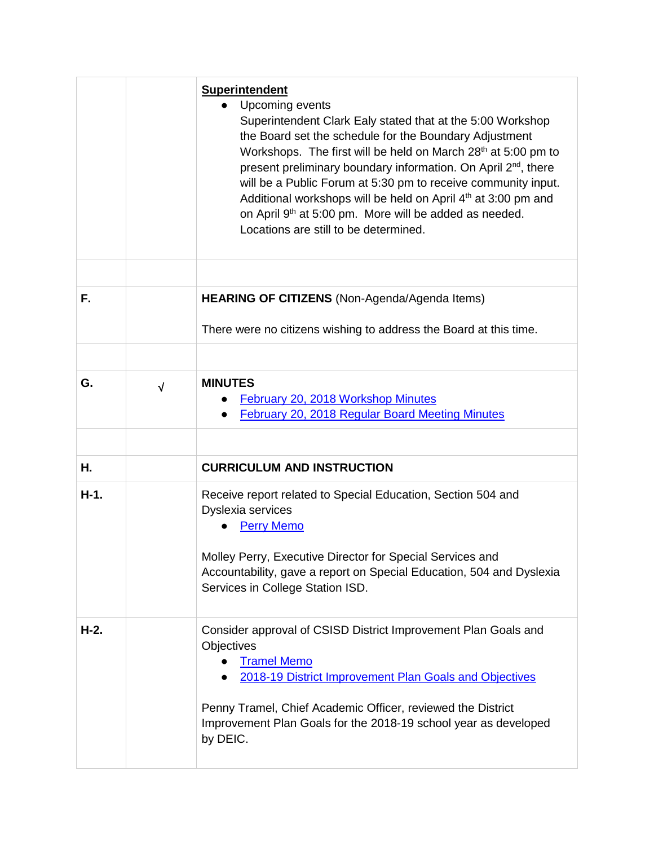|        |            | <b>Superintendent</b><br>Upcoming events<br>Superintendent Clark Ealy stated that at the 5:00 Workshop<br>the Board set the schedule for the Boundary Adjustment<br>Workshops. The first will be held on March 28 <sup>th</sup> at 5:00 pm to<br>present preliminary boundary information. On April 2 <sup>nd</sup> , there<br>will be a Public Forum at 5:30 pm to receive community input.<br>Additional workshops will be held on April 4 <sup>th</sup> at 3:00 pm and<br>on April 9th at 5:00 pm. More will be added as needed.<br>Locations are still to be determined. |
|--------|------------|------------------------------------------------------------------------------------------------------------------------------------------------------------------------------------------------------------------------------------------------------------------------------------------------------------------------------------------------------------------------------------------------------------------------------------------------------------------------------------------------------------------------------------------------------------------------------|
| F.     |            | HEARING OF CITIZENS (Non-Agenda/Agenda Items)                                                                                                                                                                                                                                                                                                                                                                                                                                                                                                                                |
|        |            | There were no citizens wishing to address the Board at this time.                                                                                                                                                                                                                                                                                                                                                                                                                                                                                                            |
| G.     | $\sqrt{ }$ | <b>MINUTES</b><br>February 20, 2018 Workshop Minutes<br><b>February 20, 2018 Regular Board Meeting Minutes</b><br>$\bullet$                                                                                                                                                                                                                                                                                                                                                                                                                                                  |
|        |            |                                                                                                                                                                                                                                                                                                                                                                                                                                                                                                                                                                              |
| Η.     |            | <b>CURRICULUM AND INSTRUCTION</b>                                                                                                                                                                                                                                                                                                                                                                                                                                                                                                                                            |
| $H-1.$ |            | Receive report related to Special Education, Section 504 and<br>Dyslexia services<br><b>Perry Memo</b><br>Molley Perry, Executive Director for Special Services and                                                                                                                                                                                                                                                                                                                                                                                                          |
|        |            | Accountability, gave a report on Special Education, 504 and Dyslexia<br>Services in College Station ISD.                                                                                                                                                                                                                                                                                                                                                                                                                                                                     |
| $H-2.$ |            | Consider approval of CSISD District Improvement Plan Goals and<br>Objectives<br><b>Tramel Memo</b><br>2018-19 District Improvement Plan Goals and Objectives<br>Penny Tramel, Chief Academic Officer, reviewed the District<br>Improvement Plan Goals for the 2018-19 school year as developed<br>by DEIC.                                                                                                                                                                                                                                                                   |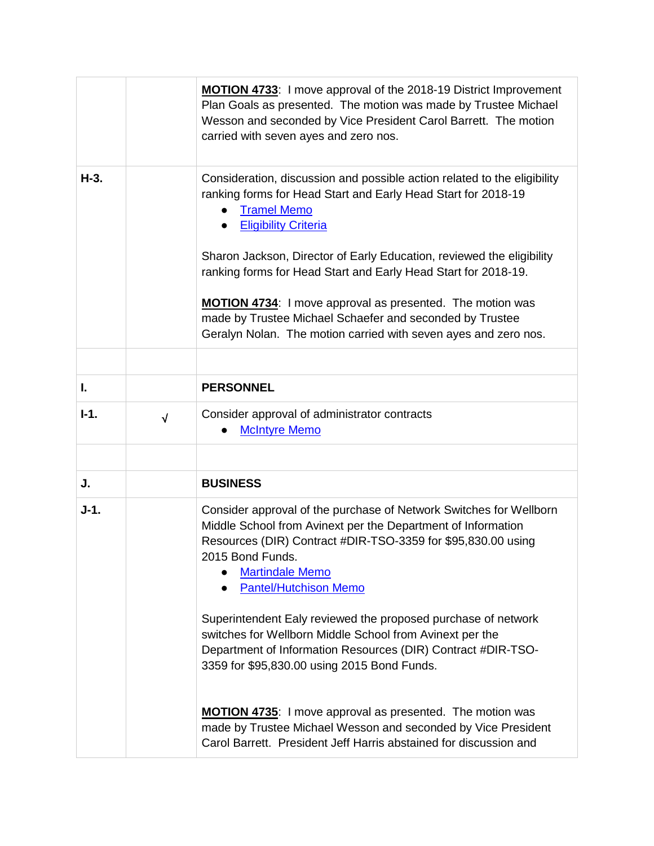|        |            | MOTION 4733: I move approval of the 2018-19 District Improvement<br>Plan Goals as presented. The motion was made by Trustee Michael<br>Wesson and seconded by Vice President Carol Barrett. The motion<br>carried with seven ayes and zero nos.                                                                                                                                                                                                                                                                                              |
|--------|------------|----------------------------------------------------------------------------------------------------------------------------------------------------------------------------------------------------------------------------------------------------------------------------------------------------------------------------------------------------------------------------------------------------------------------------------------------------------------------------------------------------------------------------------------------|
| $H-3.$ |            | Consideration, discussion and possible action related to the eligibility<br>ranking forms for Head Start and Early Head Start for 2018-19<br><b>Tramel Memo</b><br><b>Eligibility Criteria</b><br>Sharon Jackson, Director of Early Education, reviewed the eligibility<br>ranking forms for Head Start and Early Head Start for 2018-19.<br><b>MOTION 4734:</b> I move approval as presented. The motion was<br>made by Trustee Michael Schaefer and seconded by Trustee<br>Geralyn Nolan. The motion carried with seven ayes and zero nos. |
|        |            |                                                                                                                                                                                                                                                                                                                                                                                                                                                                                                                                              |
| ı.     |            | <b>PERSONNEL</b>                                                                                                                                                                                                                                                                                                                                                                                                                                                                                                                             |
| $I-1.$ | $\sqrt{ }$ | Consider approval of administrator contracts<br><b>McIntyre Memo</b>                                                                                                                                                                                                                                                                                                                                                                                                                                                                         |
|        |            |                                                                                                                                                                                                                                                                                                                                                                                                                                                                                                                                              |
| J.     |            | <b>BUSINESS</b>                                                                                                                                                                                                                                                                                                                                                                                                                                                                                                                              |
| $J-1.$ |            | Consider approval of the purchase of Network Switches for Wellborn<br>Middle School from Avinext per the Department of Information<br>Resources (DIR) Contract #DIR-TSO-3359 for \$95,830.00 using<br>2015 Bond Funds.<br><b>Martindale Memo</b><br><b>Pantel/Hutchison Memo</b>                                                                                                                                                                                                                                                             |
|        |            | Superintendent Ealy reviewed the proposed purchase of network<br>switches for Wellborn Middle School from Avinext per the<br>Department of Information Resources (DIR) Contract #DIR-TSO-<br>3359 for \$95,830.00 using 2015 Bond Funds.                                                                                                                                                                                                                                                                                                     |
|        |            | <b>MOTION 4735:</b> I move approval as presented. The motion was<br>made by Trustee Michael Wesson and seconded by Vice President<br>Carol Barrett. President Jeff Harris abstained for discussion and                                                                                                                                                                                                                                                                                                                                       |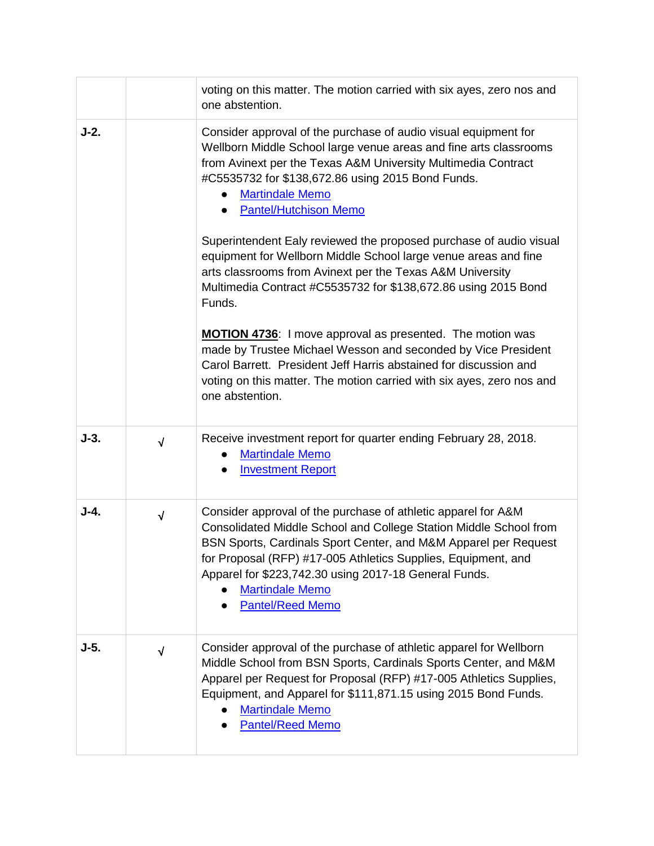|        |            | voting on this matter. The motion carried with six ayes, zero nos and<br>one abstention.                                                                                                                                                                                                                                                                                                                                                                                                                                                                                                                                                                                                                                                                                                                                                                                                                     |
|--------|------------|--------------------------------------------------------------------------------------------------------------------------------------------------------------------------------------------------------------------------------------------------------------------------------------------------------------------------------------------------------------------------------------------------------------------------------------------------------------------------------------------------------------------------------------------------------------------------------------------------------------------------------------------------------------------------------------------------------------------------------------------------------------------------------------------------------------------------------------------------------------------------------------------------------------|
| $J-2.$ |            | Consider approval of the purchase of audio visual equipment for<br>Wellborn Middle School large venue areas and fine arts classrooms<br>from Avinext per the Texas A&M University Multimedia Contract<br>#C5535732 for \$138,672.86 using 2015 Bond Funds.<br><b>Martindale Memo</b><br><b>Pantel/Hutchison Memo</b><br>Superintendent Ealy reviewed the proposed purchase of audio visual<br>equipment for Wellborn Middle School large venue areas and fine<br>arts classrooms from Avinext per the Texas A&M University<br>Multimedia Contract #C5535732 for \$138,672.86 using 2015 Bond<br>Funds.<br><b>MOTION 4736:</b> I move approval as presented. The motion was<br>made by Trustee Michael Wesson and seconded by Vice President<br>Carol Barrett. President Jeff Harris abstained for discussion and<br>voting on this matter. The motion carried with six ayes, zero nos and<br>one abstention. |
| $J-3.$ | $\sqrt{ }$ | Receive investment report for quarter ending February 28, 2018.<br><b>Martindale Memo</b><br><b>Investment Report</b>                                                                                                                                                                                                                                                                                                                                                                                                                                                                                                                                                                                                                                                                                                                                                                                        |
| $J-4.$ | $\sqrt{ }$ | Consider approval of the purchase of athletic apparel for A&M<br>Consolidated Middle School and College Station Middle School from<br>BSN Sports, Cardinals Sport Center, and M&M Apparel per Request<br>for Proposal (RFP) #17-005 Athletics Supplies, Equipment, and<br>Apparel for \$223,742.30 using 2017-18 General Funds.<br><b>Martindale Memo</b><br><b>Pantel/Reed Memo</b>                                                                                                                                                                                                                                                                                                                                                                                                                                                                                                                         |
| $J-5.$ | $\sqrt{}$  | Consider approval of the purchase of athletic apparel for Wellborn<br>Middle School from BSN Sports, Cardinals Sports Center, and M&M<br>Apparel per Request for Proposal (RFP) #17-005 Athletics Supplies,<br>Equipment, and Apparel for \$111,871.15 using 2015 Bond Funds.<br><b>Martindale Memo</b><br><b>Pantel/Reed Memo</b>                                                                                                                                                                                                                                                                                                                                                                                                                                                                                                                                                                           |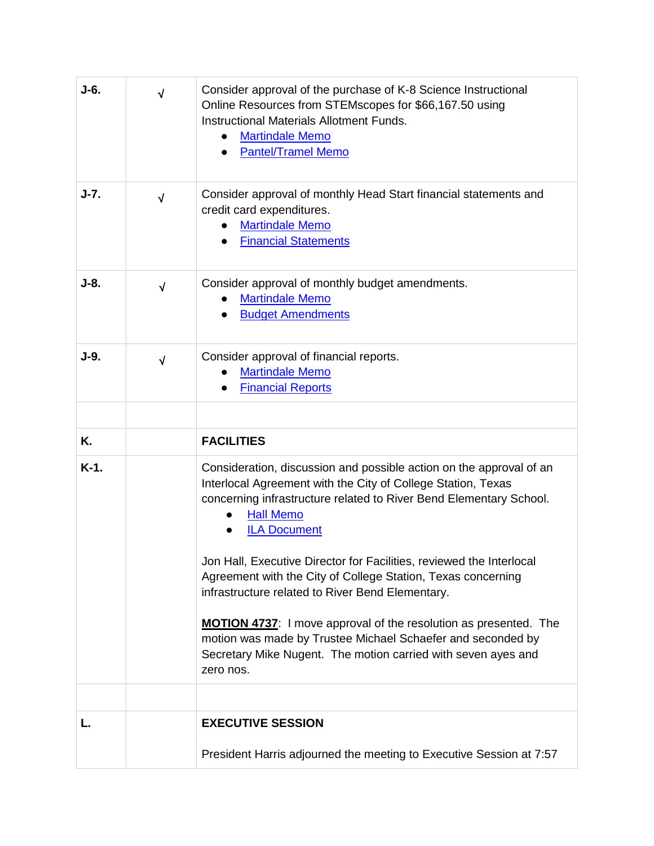| J-6.    | $\sqrt{}$  | Consider approval of the purchase of K-8 Science Instructional<br>Online Resources from STEMscopes for \$66,167.50 using<br><b>Instructional Materials Allotment Funds.</b><br><b>Martindale Memo</b><br><b>Pantel/Tramel Memo</b>                                                                                           |
|---------|------------|------------------------------------------------------------------------------------------------------------------------------------------------------------------------------------------------------------------------------------------------------------------------------------------------------------------------------|
| $J-7.$  | $\sqrt{ }$ | Consider approval of monthly Head Start financial statements and<br>credit card expenditures.<br><b>Martindale Memo</b><br><b>Financial Statements</b>                                                                                                                                                                       |
| $J-8.$  | $\sqrt{ }$ | Consider approval of monthly budget amendments.<br><b>Martindale Memo</b><br><b>Budget Amendments</b>                                                                                                                                                                                                                        |
| $J-9.$  | $\sqrt{ }$ | Consider approval of financial reports.<br><b>Martindale Memo</b><br><b>Financial Reports</b>                                                                                                                                                                                                                                |
| Κ.      |            | <b>FACILITIES</b>                                                                                                                                                                                                                                                                                                            |
| $K-1$ . |            | Consideration, discussion and possible action on the approval of an<br>Interlocal Agreement with the City of College Station, Texas<br>concerning infrastructure related to River Bend Elementary School.<br><b>Hall Memo</b><br><b>ILA Document</b><br>Jon Hall, Executive Director for Facilities, reviewed the Interlocal |
|         |            | Agreement with the City of College Station, Texas concerning<br>infrastructure related to River Bend Elementary.                                                                                                                                                                                                             |
|         |            | <b>MOTION 4737:</b> I move approval of the resolution as presented. The<br>motion was made by Trustee Michael Schaefer and seconded by<br>Secretary Mike Nugent. The motion carried with seven ayes and<br>zero nos.                                                                                                         |
|         |            |                                                                                                                                                                                                                                                                                                                              |
|         |            | <b>EXECUTIVE SESSION</b>                                                                                                                                                                                                                                                                                                     |
|         |            | President Harris adjourned the meeting to Executive Session at 7:57                                                                                                                                                                                                                                                          |